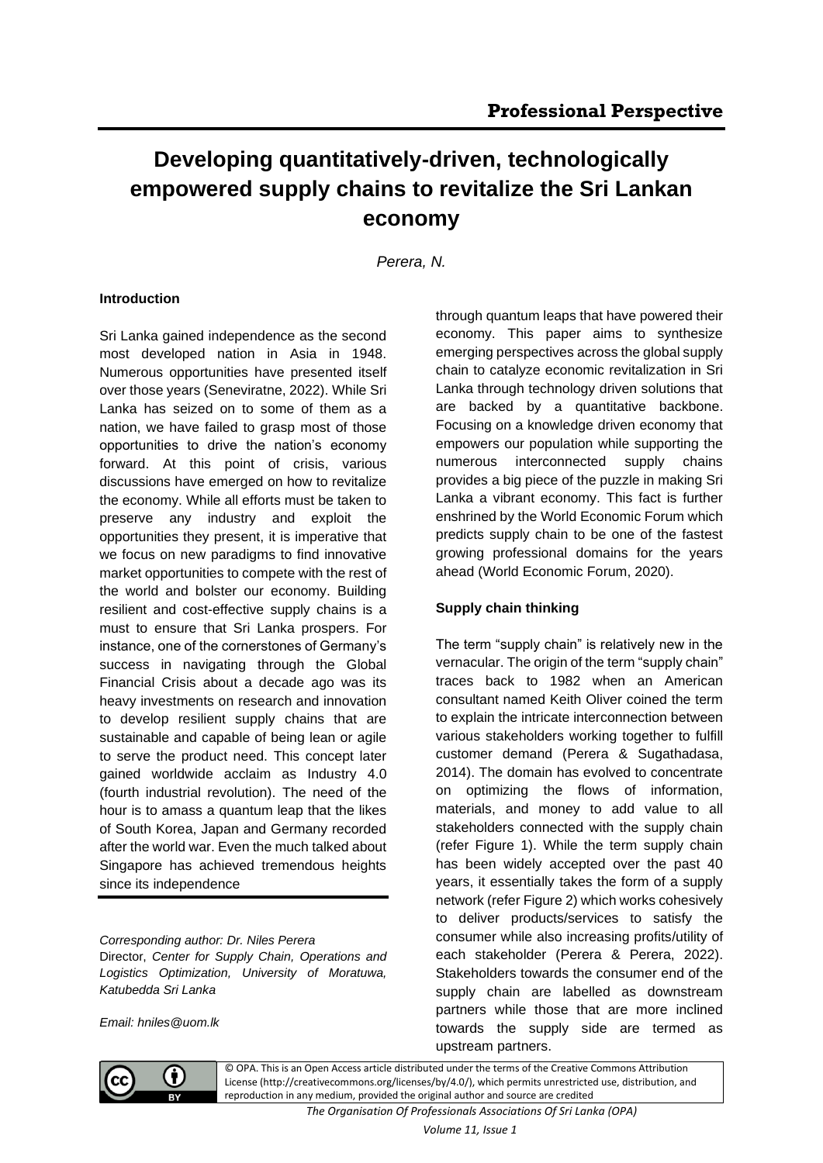# **Developing quantitatively-driven, technologically empowered supply chains to revitalize the Sri Lankan economy**

*Perera, N.*

# **Introduction**

Sri Lanka gained independence as the second most developed nation in Asia in 1948. Numerous opportunities have presented itself over those years (Seneviratne, 2022). While Sri Lanka has seized on to some of them as a nation, we have failed to grasp most of those opportunities to drive the nation's economy forward. At this point of crisis, various discussions have emerged on how to revitalize the economy. While all efforts must be taken to preserve any industry and exploit the opportunities they present, it is imperative that we focus on new paradigms to find innovative market opportunities to compete with the rest of the world and bolster our economy. Building resilient and cost-effective supply chains is a must to ensure that Sri Lanka prospers. For instance, one of the cornerstones of Germany's success in navigating through the Global Financial Crisis about a decade ago was its heavy investments on research and innovation to develop resilient supply chains that are sustainable and capable of being lean or agile to serve the product need. This concept later gained worldwide acclaim as Industry 4.0 (fourth industrial revolution). The need of the hour is to amass a quantum leap that the likes of South Korea, Japan and Germany recorded after the world war. Even the much talked about Singapore has achieved tremendous heights since its independence

*Corresponding author: Dr. Niles Perera* Director, *Center for Supply Chain, Operations and Logistics Optimization, University of Moratuwa, Katubedda Sri Lanka*

*Email: hniles@uom.lk*

through quantum leaps that have powered their economy. This paper aims to synthesize emerging perspectives across the global supply chain to catalyze economic revitalization in Sri Lanka through technology driven solutions that are backed by a quantitative backbone. Focusing on a knowledge driven economy that empowers our population while supporting the numerous interconnected supply chains provides a big piece of the puzzle in making Sri Lanka a vibrant economy. This fact is further enshrined by the World Economic Forum which predicts supply chain to be one of the fastest growing professional domains for the years ahead (World Economic Forum, 2020).

# **Supply chain thinking**

The term "supply chain" is relatively new in the vernacular. The origin of the term "supply chain" traces back to 1982 when an American consultant named Keith Oliver coined the term to explain the intricate interconnection between various stakeholders working together to fulfill customer demand (Perera & Sugathadasa, 2014). The domain has evolved to concentrate on optimizing the flows of information, materials, and money to add value to all stakeholders connected with the supply chain (refer Figure 1). While the term supply chain has been widely accepted over the past 40 years, it essentially takes the form of a supply network (refer Figure 2) which works cohesively to deliver products/services to satisfy the consumer while also increasing profits/utility of each stakeholder (Perera & Perera, 2022). Stakeholders towards the consumer end of the supply chain are labelled as downstream partners while those that are more inclined towards the supply side are termed as upstream partners.



© OPA. This is an Open Access article distributed under the terms of the Creative Commons Attribution License (http://creativecommons.org/licenses/by/4.0/), which permits unrestricted use, distribution, and reproduction in any medium, provided the original author and source are credited

*The Organisation Of Professionals Associations Of Sri Lanka (OPA)*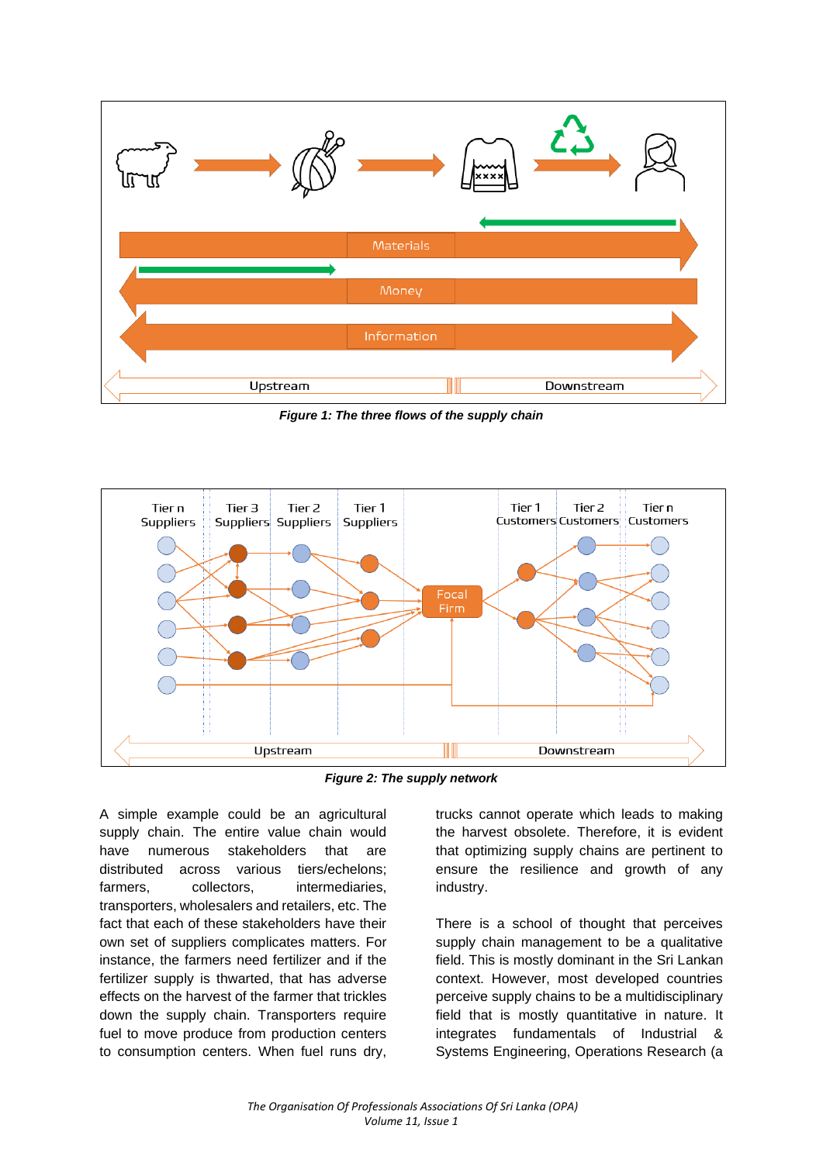

*Figure 1: The three flows of the supply chain*



*Figure 2: The supply network*

A simple example could be an agricultural supply chain. The entire value chain would have numerous stakeholders that are distributed across various tiers/echelons; farmers, collectors, intermediaries, transporters, wholesalers and retailers, etc. The fact that each of these stakeholders have their own set of suppliers complicates matters. For instance, the farmers need fertilizer and if the fertilizer supply is thwarted, that has adverse effects on the harvest of the farmer that trickles down the supply chain. Transporters require fuel to move produce from production centers to consumption centers. When fuel runs dry,

trucks cannot operate which leads to making the harvest obsolete. Therefore, it is evident that optimizing supply chains are pertinent to ensure the resilience and growth of any industry.

There is a school of thought that perceives supply chain management to be a qualitative field. This is mostly dominant in the Sri Lankan context. However, most developed countries perceive supply chains to be a multidisciplinary field that is mostly quantitative in nature. It integrates fundamentals of Industrial & Systems Engineering, Operations Research (a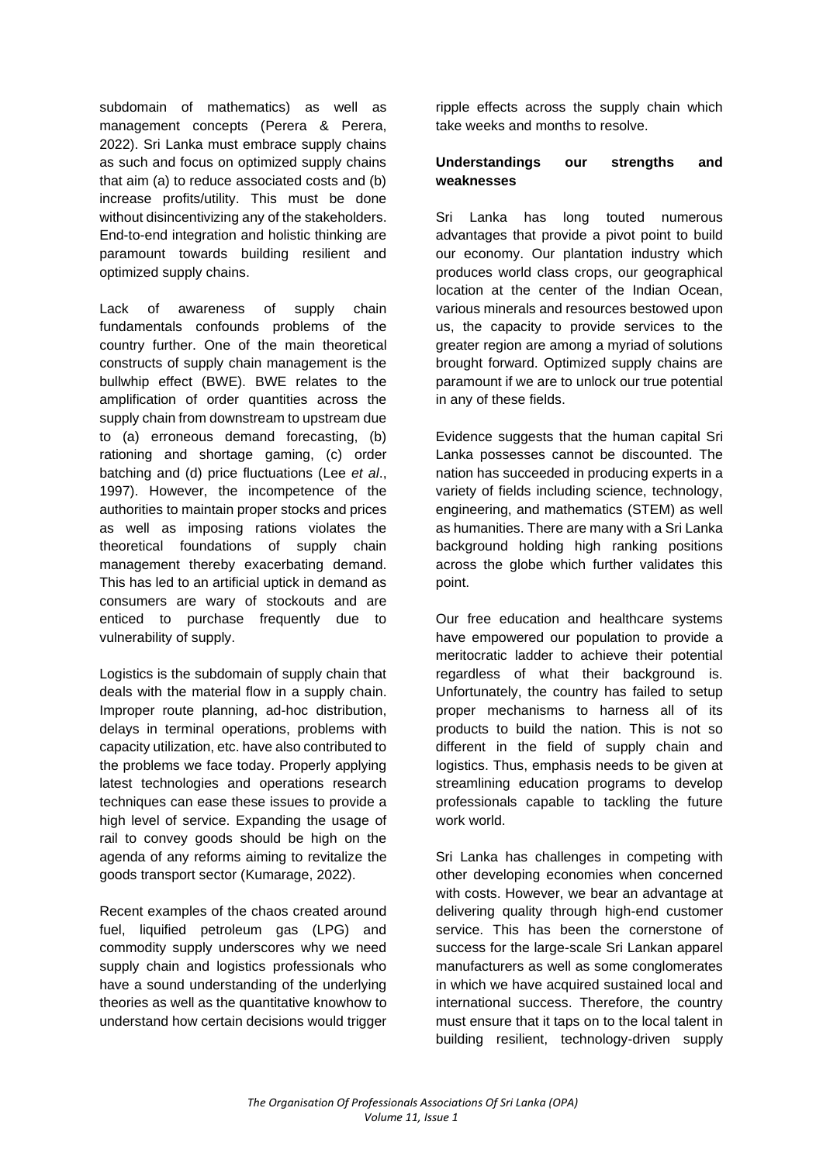subdomain of mathematics) as well as management concepts (Perera & Perera, 2022). Sri Lanka must embrace supply chains as such and focus on optimized supply chains that aim (a) to reduce associated costs and (b) increase profits/utility. This must be done without disincentivizing any of the stakeholders. End-to-end integration and holistic thinking are paramount towards building resilient and optimized supply chains.

Lack of awareness of supply chain fundamentals confounds problems of the country further. One of the main theoretical constructs of supply chain management is the bullwhip effect (BWE). BWE relates to the amplification of order quantities across the supply chain from downstream to upstream due to (a) erroneous demand forecasting, (b) rationing and shortage gaming, (c) order batching and (d) price fluctuations (Lee *et al*., 1997). However, the incompetence of the authorities to maintain proper stocks and prices as well as imposing rations violates the theoretical foundations of supply chain management thereby exacerbating demand. This has led to an artificial uptick in demand as consumers are wary of stockouts and are enticed to purchase frequently due to vulnerability of supply.

Logistics is the subdomain of supply chain that deals with the material flow in a supply chain. Improper route planning, ad-hoc distribution, delays in terminal operations, problems with capacity utilization, etc. have also contributed to the problems we face today. Properly applying latest technologies and operations research techniques can ease these issues to provide a high level of service. Expanding the usage of rail to convey goods should be high on the agenda of any reforms aiming to revitalize the goods transport sector (Kumarage, 2022).

Recent examples of the chaos created around fuel, liquified petroleum gas (LPG) and commodity supply underscores why we need supply chain and logistics professionals who have a sound understanding of the underlying theories as well as the quantitative knowhow to understand how certain decisions would trigger ripple effects across the supply chain which take weeks and months to resolve.

### **Understandings our strengths and weaknesses**

Sri Lanka has long touted numerous advantages that provide a pivot point to build our economy. Our plantation industry which produces world class crops, our geographical location at the center of the Indian Ocean, various minerals and resources bestowed upon us, the capacity to provide services to the greater region are among a myriad of solutions brought forward. Optimized supply chains are paramount if we are to unlock our true potential in any of these fields.

Evidence suggests that the human capital Sri Lanka possesses cannot be discounted. The nation has succeeded in producing experts in a variety of fields including science, technology, engineering, and mathematics (STEM) as well as humanities. There are many with a Sri Lanka background holding high ranking positions across the globe which further validates this point.

Our free education and healthcare systems have empowered our population to provide a meritocratic ladder to achieve their potential regardless of what their background is. Unfortunately, the country has failed to setup proper mechanisms to harness all of its products to build the nation. This is not so different in the field of supply chain and logistics. Thus, emphasis needs to be given at streamlining education programs to develop professionals capable to tackling the future work world.

Sri Lanka has challenges in competing with other developing economies when concerned with costs. However, we bear an advantage at delivering quality through high-end customer service. This has been the cornerstone of success for the large-scale Sri Lankan apparel manufacturers as well as some conglomerates in which we have acquired sustained local and international success. Therefore, the country must ensure that it taps on to the local talent in building resilient, technology-driven supply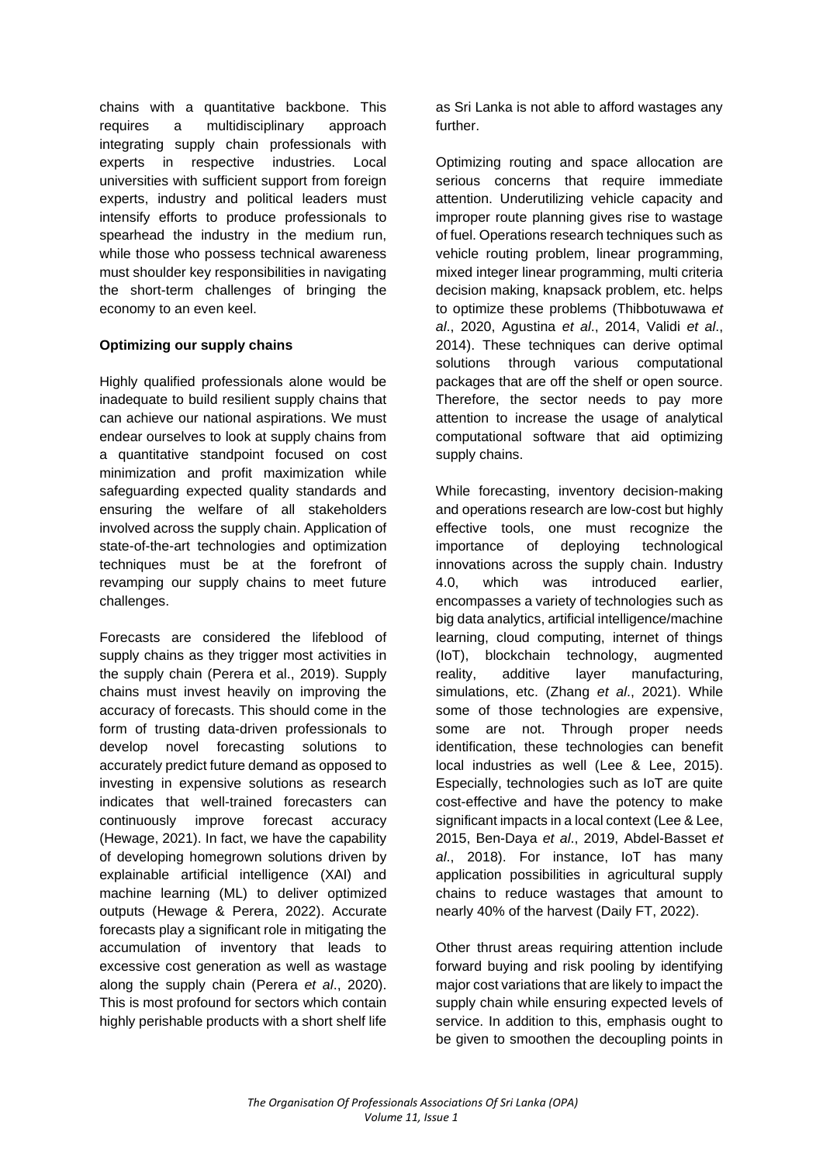chains with a quantitative backbone. This requires a multidisciplinary approach integrating supply chain professionals with experts in respective industries. Local universities with sufficient support from foreign experts, industry and political leaders must intensify efforts to produce professionals to spearhead the industry in the medium run, while those who possess technical awareness must shoulder key responsibilities in navigating the short-term challenges of bringing the economy to an even keel.

## **Optimizing our supply chains**

Highly qualified professionals alone would be inadequate to build resilient supply chains that can achieve our national aspirations. We must endear ourselves to look at supply chains from a quantitative standpoint focused on cost minimization and profit maximization while safeguarding expected quality standards and ensuring the welfare of all stakeholders involved across the supply chain. Application of state-of-the-art technologies and optimization techniques must be at the forefront of revamping our supply chains to meet future challenges.

Forecasts are considered the lifeblood of supply chains as they trigger most activities in the supply chain (Perera et al., 2019). Supply chains must invest heavily on improving the accuracy of forecasts. This should come in the form of trusting data-driven professionals to develop novel forecasting solutions to accurately predict future demand as opposed to investing in expensive solutions as research indicates that well-trained forecasters can continuously improve forecast accuracy (Hewage, 2021). In fact, we have the capability of developing homegrown solutions driven by explainable artificial intelligence (XAI) and machine learning (ML) to deliver optimized outputs (Hewage & Perera, 2022). Accurate forecasts play a significant role in mitigating the accumulation of inventory that leads to excessive cost generation as well as wastage along the supply chain (Perera *et al*., 2020). This is most profound for sectors which contain highly perishable products with a short shelf life

as Sri Lanka is not able to afford wastages any further.

Optimizing routing and space allocation are serious concerns that require immediate attention. Underutilizing vehicle capacity and improper route planning gives rise to wastage of fuel. Operations research techniques such as vehicle routing problem, linear programming, mixed integer linear programming, multi criteria decision making, knapsack problem, etc. helps to optimize these problems (Thibbotuwawa *et al*., 2020, Agustina *et al*., 2014, Validi *et al*., 2014). These techniques can derive optimal solutions through various computational packages that are off the shelf or open source. Therefore, the sector needs to pay more attention to increase the usage of analytical computational software that aid optimizing supply chains.

While forecasting, inventory decision-making and operations research are low-cost but highly effective tools, one must recognize the importance of deploying technological innovations across the supply chain. Industry 4.0, which was introduced earlier, encompasses a variety of technologies such as big data analytics, artificial intelligence/machine learning, cloud computing, internet of things (IoT), blockchain technology, augmented reality, additive layer manufacturing, simulations, etc. (Zhang *et al*., 2021). While some of those technologies are expensive, some are not. Through proper needs identification, these technologies can benefit local industries as well (Lee & Lee, 2015). Especially, technologies such as IoT are quite cost-effective and have the potency to make significant impacts in a local context (Lee & Lee, 2015, Ben-Daya *et al*., 2019, Abdel-Basset *et al*., 2018). For instance, IoT has many application possibilities in agricultural supply chains to reduce wastages that amount to nearly 40% of the harvest (Daily FT, 2022).

Other thrust areas requiring attention include forward buying and risk pooling by identifying major cost variations that are likely to impact the supply chain while ensuring expected levels of service. In addition to this, emphasis ought to be given to smoothen the decoupling points in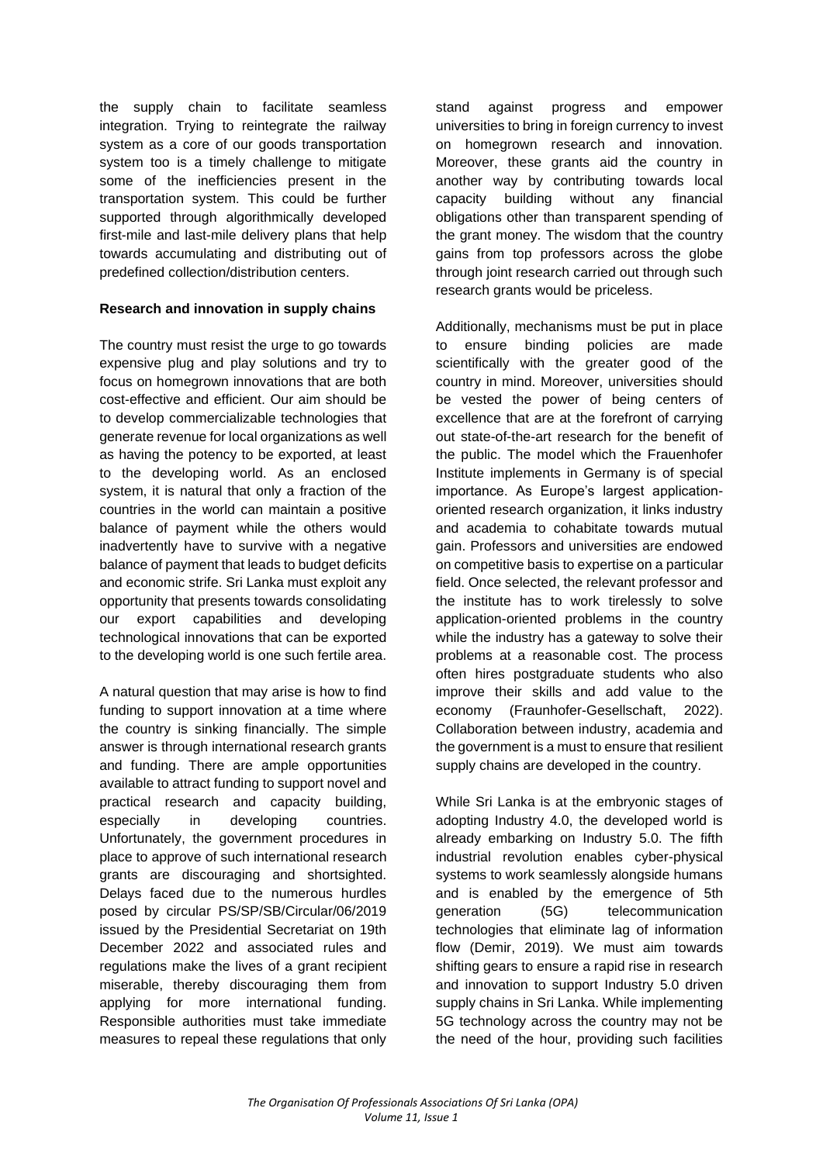the supply chain to facilitate seamless integration. Trying to reintegrate the railway system as a core of our goods transportation system too is a timely challenge to mitigate some of the inefficiencies present in the transportation system. This could be further supported through algorithmically developed first-mile and last-mile delivery plans that help towards accumulating and distributing out of predefined collection/distribution centers.

## **Research and innovation in supply chains**

The country must resist the urge to go towards expensive plug and play solutions and try to focus on homegrown innovations that are both cost-effective and efficient. Our aim should be to develop commercializable technologies that generate revenue for local organizations as well as having the potency to be exported, at least to the developing world. As an enclosed system, it is natural that only a fraction of the countries in the world can maintain a positive balance of payment while the others would inadvertently have to survive with a negative balance of payment that leads to budget deficits and economic strife. Sri Lanka must exploit any opportunity that presents towards consolidating our export capabilities and developing technological innovations that can be exported to the developing world is one such fertile area.

A natural question that may arise is how to find funding to support innovation at a time where the country is sinking financially. The simple answer is through international research grants and funding. There are ample opportunities available to attract funding to support novel and practical research and capacity building, especially in developing countries. Unfortunately, the government procedures in place to approve of such international research grants are discouraging and shortsighted. Delays faced due to the numerous hurdles posed by circular PS/SP/SB/Circular/06/2019 issued by the Presidential Secretariat on 19th December 2022 and associated rules and regulations make the lives of a grant recipient miserable, thereby discouraging them from applying for more international funding. Responsible authorities must take immediate measures to repeal these regulations that only

stand against progress and empower universities to bring in foreign currency to invest on homegrown research and innovation. Moreover, these grants aid the country in another way by contributing towards local capacity building without any financial obligations other than transparent spending of the grant money. The wisdom that the country gains from top professors across the globe through joint research carried out through such research grants would be priceless.

Additionally, mechanisms must be put in place to ensure binding policies are made scientifically with the greater good of the country in mind. Moreover, universities should be vested the power of being centers of excellence that are at the forefront of carrying out state-of-the-art research for the benefit of the public. The model which the Frauenhofer Institute implements in Germany is of special importance. As Europe's largest applicationoriented research organization, it links industry and academia to cohabitate towards mutual gain. Professors and universities are endowed on competitive basis to expertise on a particular field. Once selected, the relevant professor and the institute has to work tirelessly to solve application-oriented problems in the country while the industry has a gateway to solve their problems at a reasonable cost. The process often hires postgraduate students who also improve their skills and add value to the economy (Fraunhofer-Gesellschaft, 2022). Collaboration between industry, academia and the government is a must to ensure that resilient supply chains are developed in the country.

While Sri Lanka is at the embryonic stages of adopting Industry 4.0, the developed world is already embarking on Industry 5.0. The fifth industrial revolution enables cyber-physical systems to work seamlessly alongside humans and is enabled by the emergence of 5th generation (5G) telecommunication technologies that eliminate lag of information flow (Demir, 2019). We must aim towards shifting gears to ensure a rapid rise in research and innovation to support Industry 5.0 driven supply chains in Sri Lanka. While implementing 5G technology across the country may not be the need of the hour, providing such facilities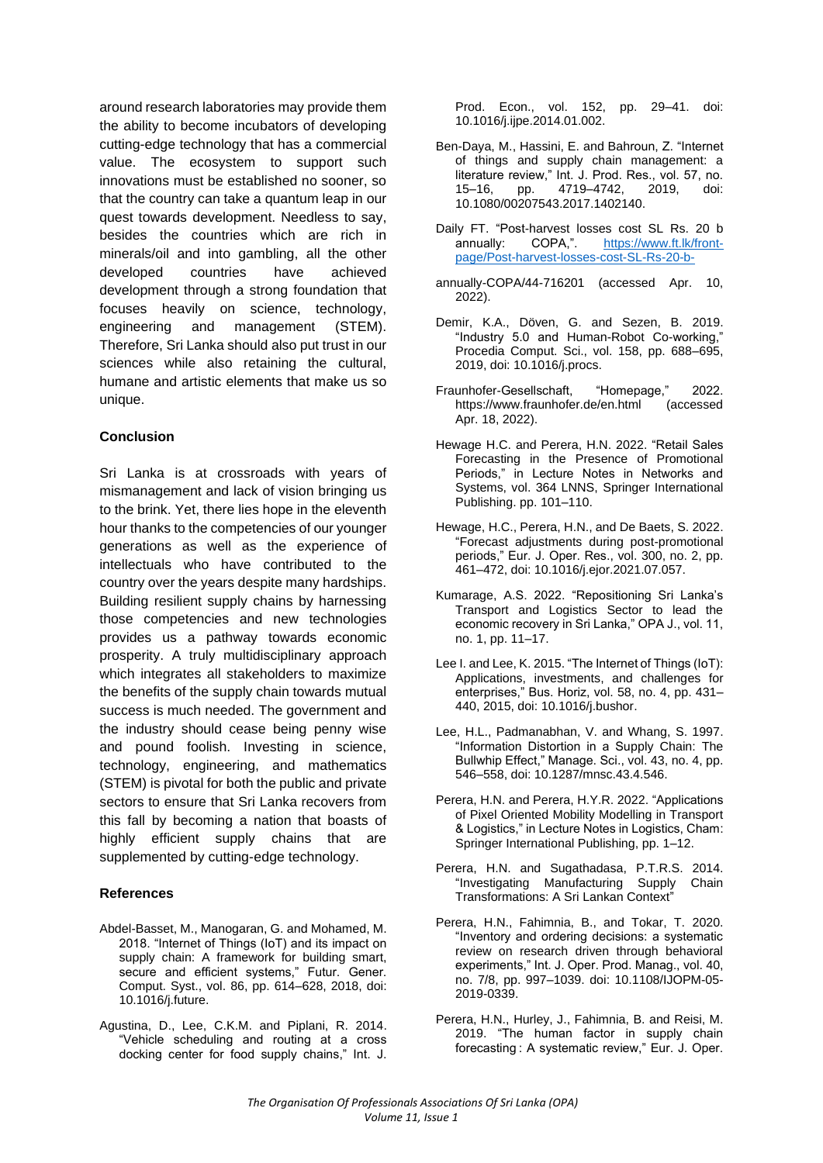around research laboratories may provide them the ability to become incubators of developing cutting-edge technology that has a commercial value. The ecosystem to support such innovations must be established no sooner, so that the country can take a quantum leap in our quest towards development. Needless to say, besides the countries which are rich in minerals/oil and into gambling, all the other developed countries have achieved development through a strong foundation that focuses heavily on science, technology, engineering and management (STEM). Therefore, Sri Lanka should also put trust in our sciences while also retaining the cultural, humane and artistic elements that make us so unique.

### **Conclusion**

Sri Lanka is at crossroads with years of mismanagement and lack of vision bringing us to the brink. Yet, there lies hope in the eleventh hour thanks to the competencies of our younger generations as well as the experience of intellectuals who have contributed to the country over the years despite many hardships. Building resilient supply chains by harnessing those competencies and new technologies provides us a pathway towards economic prosperity. A truly multidisciplinary approach which integrates all stakeholders to maximize the benefits of the supply chain towards mutual success is much needed. The government and the industry should cease being penny wise and pound foolish. Investing in science, technology, engineering, and mathematics (STEM) is pivotal for both the public and private sectors to ensure that Sri Lanka recovers from this fall by becoming a nation that boasts of highly efficient supply chains that are supplemented by cutting-edge technology.

#### **References**

- Abdel-Basset, M., Manogaran, G. and Mohamed, M. 2018. "Internet of Things (IoT) and its impact on supply chain: A framework for building smart, secure and efficient systems," Futur. Gener. Comput. Syst., vol. 86, pp. 614–628, 2018, doi: 10.1016/j.future.
- Agustina, D., Lee, C.K.M. and Piplani, R. 2014. "Vehicle scheduling and routing at a cross docking center for food supply chains," Int. J.

Prod. Econ., vol. 152, pp. 29–41. doi: 10.1016/j.ijpe.2014.01.002.

- Ben-Daya, M., Hassini, E. and Bahroun, Z. "Internet of things and supply chain management: a literature review," Int. J. Prod. Res., vol. 57, no. 15–16, pp. 4719–4742, 2019, doi: 10.1080/00207543.2017.1402140.
- Daily FT. "Post-harvest losses cost SL Rs. 20 b annually: COPA,". [https://www.ft.lk/front](https://www.ft.lk/front-page/Post-harvest-losses-cost-SL-Rs-20-b-)[page/Post-harvest-losses-cost-SL-Rs-20-b-](https://www.ft.lk/front-page/Post-harvest-losses-cost-SL-Rs-20-b-)
- annually-COPA/44-716201 (accessed Apr. 10, 2022).
- Demir, K.A., Döven, G. and Sezen, B. 2019. "Industry 5.0 and Human-Robot Co-working," Procedia Comput. Sci., vol. 158, pp. 688–695, 2019, doi: 10.1016/j.procs.
- Fraunhofer-Gesellschaft, "Homepage," 2022. https://www.fraunhofer.de/en.html (accessed Apr. 18, 2022).
- Hewage H.C. and Perera, H.N. 2022. "Retail Sales Forecasting in the Presence of Promotional Periods," in Lecture Notes in Networks and Systems, vol. 364 LNNS, Springer International Publishing. pp. 101–110.
- Hewage, H.C., Perera, H.N., and De Baets, S. 2022. "Forecast adjustments during post-promotional periods," Eur. J. Oper. Res., vol. 300, no. 2, pp. 461–472, doi: 10.1016/j.ejor.2021.07.057.
- Kumarage, A.S. 2022. "Repositioning Sri Lanka's Transport and Logistics Sector to lead the economic recovery in Sri Lanka," OPA J., vol. 11, no. 1, pp. 11–17.
- Lee I. and Lee, K. 2015. "The Internet of Things (IoT): Applications, investments, and challenges for enterprises," Bus. Horiz, vol. 58, no. 4, pp. 431– 440, 2015, doi: 10.1016/j.bushor.
- Lee, H.L., Padmanabhan, V. and Whang, S. 1997. "Information Distortion in a Supply Chain: The Bullwhip Effect," Manage. Sci., vol. 43, no. 4, pp. 546–558, doi: 10.1287/mnsc.43.4.546.
- Perera, H.N. and Perera, H.Y.R. 2022. "Applications of Pixel Oriented Mobility Modelling in Transport & Logistics," in Lecture Notes in Logistics, Cham: Springer International Publishing, pp. 1–12.
- Perera, H.N. and Sugathadasa, P.T.R.S. 2014. "Investigating Manufacturing Supply Chain Transformations: A Sri Lankan Context"
- Perera, H.N., Fahimnia, B., and Tokar, T. 2020. "Inventory and ordering decisions: a systematic review on research driven through behavioral experiments," Int. J. Oper. Prod. Manag., vol. 40, no. 7/8, pp. 997–1039. doi: 10.1108/IJOPM-05- 2019-0339.
- Perera, H.N., Hurley, J., Fahimnia, B. and Reisi, M. 2019. "The human factor in supply chain forecasting : A systematic review," Eur. J. Oper.